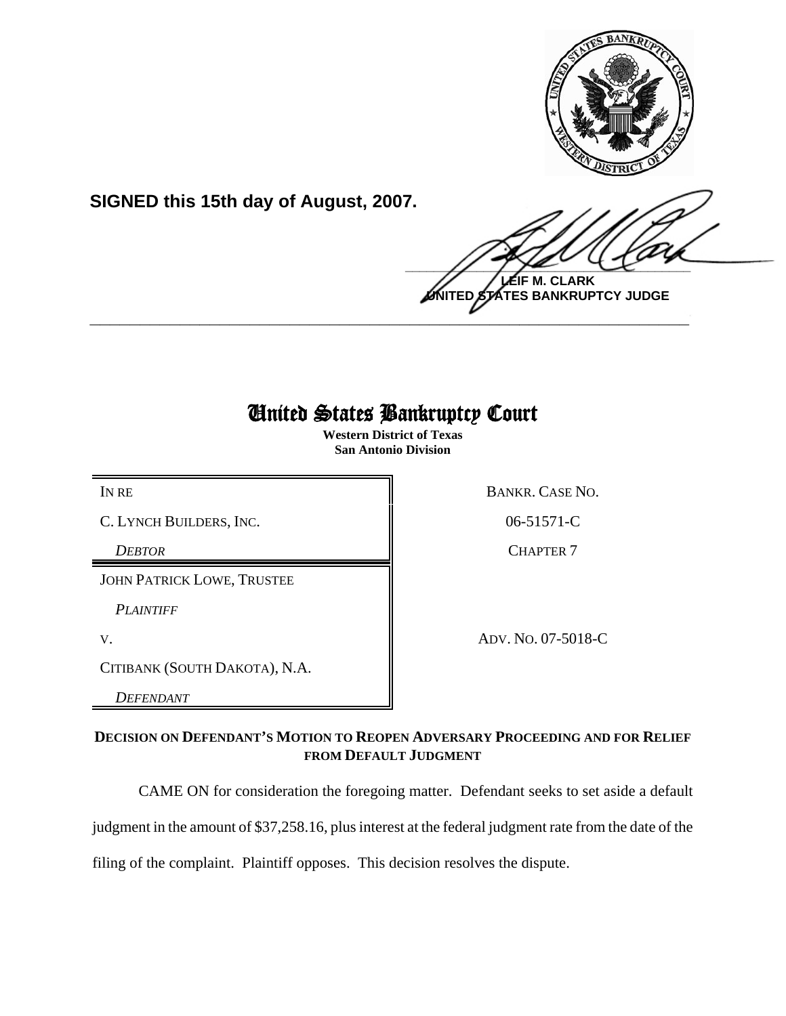

**SIGNED this 15th day of August, 2007.**

 $\frac{1}{2}$ **LEIF M. CLARK**

**UNITED STATES BANKRUPTCY JUDGE \_\_\_\_\_\_\_\_\_\_\_\_\_\_\_\_\_\_\_\_\_\_\_\_\_\_\_\_\_\_\_\_\_\_\_\_\_\_\_\_\_\_\_\_\_\_\_\_\_\_\_\_\_\_\_\_\_\_\_\_**

# United States Bankruptcy Court

**Western District of Texas San Antonio Division**

C. LYNCH BUILDERS, INC. 106-51571-C

JOHN PATRICK LOWE, TRUSTEE

*PLAINTIFF* 

CITIBANK (SOUTH DAKOTA), N.A.

*DEFENDANT* 

IN RE BANKR. CASE NO.

**DEBTOR** CHAPTER 7

V. ADV. NO. 07-5018-C

# **DECISION ON DEFENDANT'S MOTION TO REOPEN ADVERSARY PROCEEDING AND FOR RELIEF FROM DEFAULT JUDGMENT**

CAME ON for consideration the foregoing matter. Defendant seeks to set aside a default

judgment in the amount of \$37,258.16, plus interest at the federal judgment rate from the date of the

filing of the complaint. Plaintiff opposes. This decision resolves the dispute.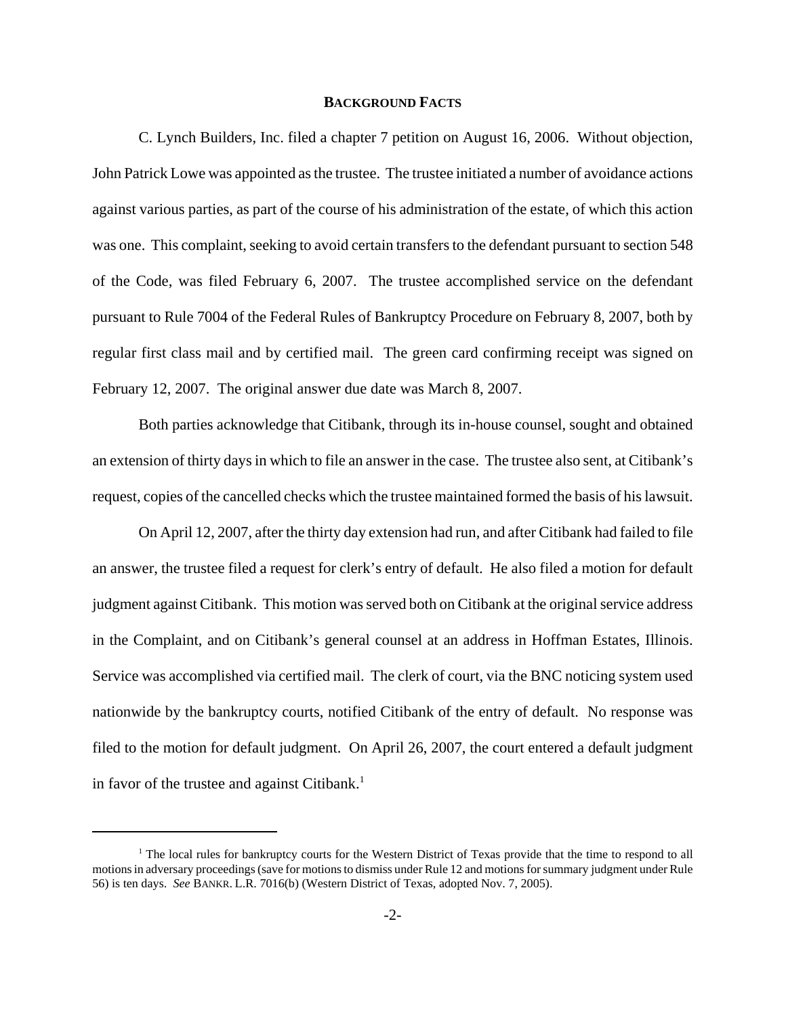#### **BACKGROUND FACTS**

C. Lynch Builders, Inc. filed a chapter 7 petition on August 16, 2006. Without objection, John Patrick Lowe was appointed as the trustee. The trustee initiated a number of avoidance actions against various parties, as part of the course of his administration of the estate, of which this action was one. This complaint, seeking to avoid certain transfers to the defendant pursuant to section 548 of the Code, was filed February 6, 2007. The trustee accomplished service on the defendant pursuant to Rule 7004 of the Federal Rules of Bankruptcy Procedure on February 8, 2007, both by regular first class mail and by certified mail. The green card confirming receipt was signed on February 12, 2007. The original answer due date was March 8, 2007.

Both parties acknowledge that Citibank, through its in-house counsel, sought and obtained an extension of thirty days in which to file an answer in the case. The trustee also sent, at Citibank's request, copies of the cancelled checks which the trustee maintained formed the basis of his lawsuit.

On April 12, 2007, after the thirty day extension had run, and after Citibank had failed to file an answer, the trustee filed a request for clerk's entry of default. He also filed a motion for default judgment against Citibank. This motion was served both on Citibank at the original service address in the Complaint, and on Citibank's general counsel at an address in Hoffman Estates, Illinois. Service was accomplished via certified mail. The clerk of court, via the BNC noticing system used nationwide by the bankruptcy courts, notified Citibank of the entry of default. No response was filed to the motion for default judgment. On April 26, 2007, the court entered a default judgment in favor of the trustee and against Citibank.<sup>1</sup>

<sup>&</sup>lt;sup>1</sup> The local rules for bankruptcy courts for the Western District of Texas provide that the time to respond to all motions in adversary proceedings (save for motions to dismiss under Rule 12 and motions for summary judgment under Rule 56) is ten days. *See* BANKR. L.R. 7016(b) (Western District of Texas, adopted Nov. 7, 2005).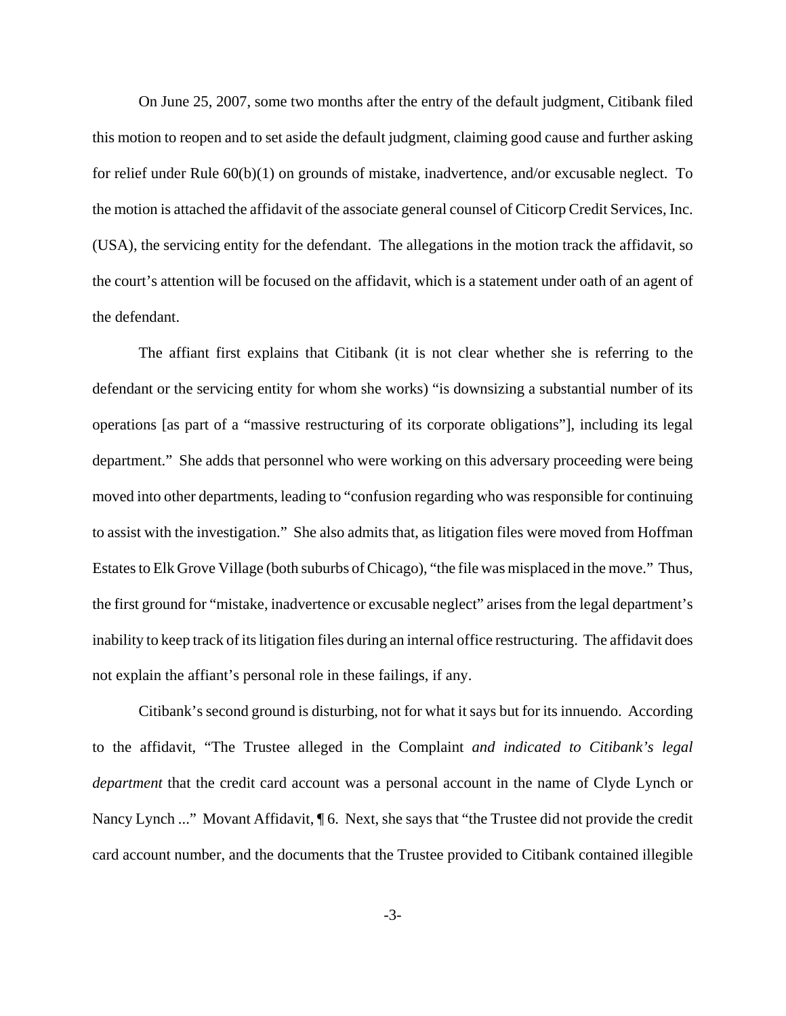On June 25, 2007, some two months after the entry of the default judgment, Citibank filed this motion to reopen and to set aside the default judgment, claiming good cause and further asking for relief under Rule 60(b)(1) on grounds of mistake, inadvertence, and/or excusable neglect. To the motion is attached the affidavit of the associate general counsel of Citicorp Credit Services, Inc. (USA), the servicing entity for the defendant. The allegations in the motion track the affidavit, so the court's attention will be focused on the affidavit, which is a statement under oath of an agent of the defendant.

The affiant first explains that Citibank (it is not clear whether she is referring to the defendant or the servicing entity for whom she works) "is downsizing a substantial number of its operations [as part of a "massive restructuring of its corporate obligations"], including its legal department." She adds that personnel who were working on this adversary proceeding were being moved into other departments, leading to "confusion regarding who was responsible for continuing to assist with the investigation." She also admits that, as litigation files were moved from Hoffman Estates to Elk Grove Village (both suburbs of Chicago), "the file was misplaced in the move." Thus, the first ground for "mistake, inadvertence or excusable neglect" arises from the legal department's inability to keep track of its litigation files during an internal office restructuring. The affidavit does not explain the affiant's personal role in these failings, if any.

Citibank's second ground is disturbing, not for what it says but for its innuendo. According to the affidavit, "The Trustee alleged in the Complaint *and indicated to Citibank's legal department* that the credit card account was a personal account in the name of Clyde Lynch or Nancy Lynch ..." Movant Affidavit, ¶ 6. Next, she says that "the Trustee did not provide the credit card account number, and the documents that the Trustee provided to Citibank contained illegible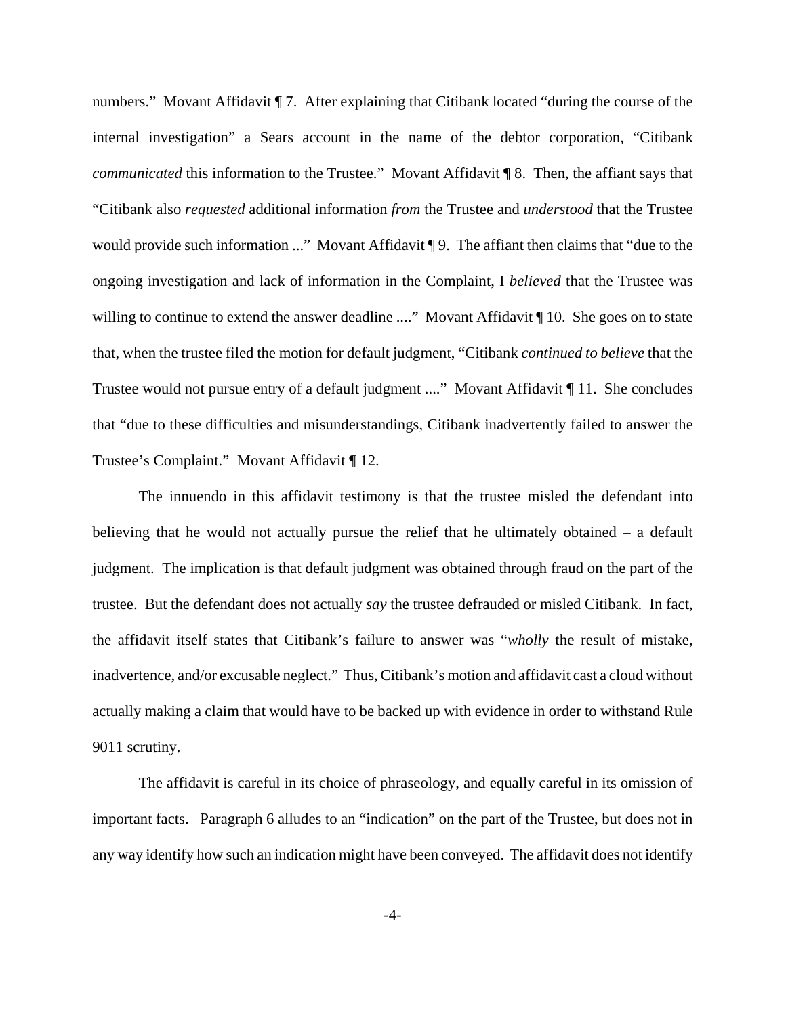numbers." Movant Affidavit ¶ 7. After explaining that Citibank located "during the course of the internal investigation" a Sears account in the name of the debtor corporation, "Citibank *communicated* this information to the Trustee." Movant Affidavit ¶ 8. Then, the affiant says that "Citibank also *requested* additional information *from* the Trustee and *understood* that the Trustee would provide such information ..." Movant Affidavit ¶ 9. The affiant then claims that "due to the ongoing investigation and lack of information in the Complaint, I *believed* that the Trustee was willing to continue to extend the answer deadline ...." Movant Affidavit ¶ 10. She goes on to state that, when the trustee filed the motion for default judgment, "Citibank *continued to believe* that the Trustee would not pursue entry of a default judgment ...." Movant Affidavit ¶ 11. She concludes that "due to these difficulties and misunderstandings, Citibank inadvertently failed to answer the Trustee's Complaint." Movant Affidavit ¶ 12.

The innuendo in this affidavit testimony is that the trustee misled the defendant into believing that he would not actually pursue the relief that he ultimately obtained – a default judgment. The implication is that default judgment was obtained through fraud on the part of the trustee. But the defendant does not actually *say* the trustee defrauded or misled Citibank. In fact, the affidavit itself states that Citibank's failure to answer was "*wholly* the result of mistake, inadvertence, and/or excusable neglect." Thus, Citibank's motion and affidavit cast a cloud without actually making a claim that would have to be backed up with evidence in order to withstand Rule 9011 scrutiny.

The affidavit is careful in its choice of phraseology, and equally careful in its omission of important facts. Paragraph 6 alludes to an "indication" on the part of the Trustee, but does not in any way identify how such an indication might have been conveyed. The affidavit does not identify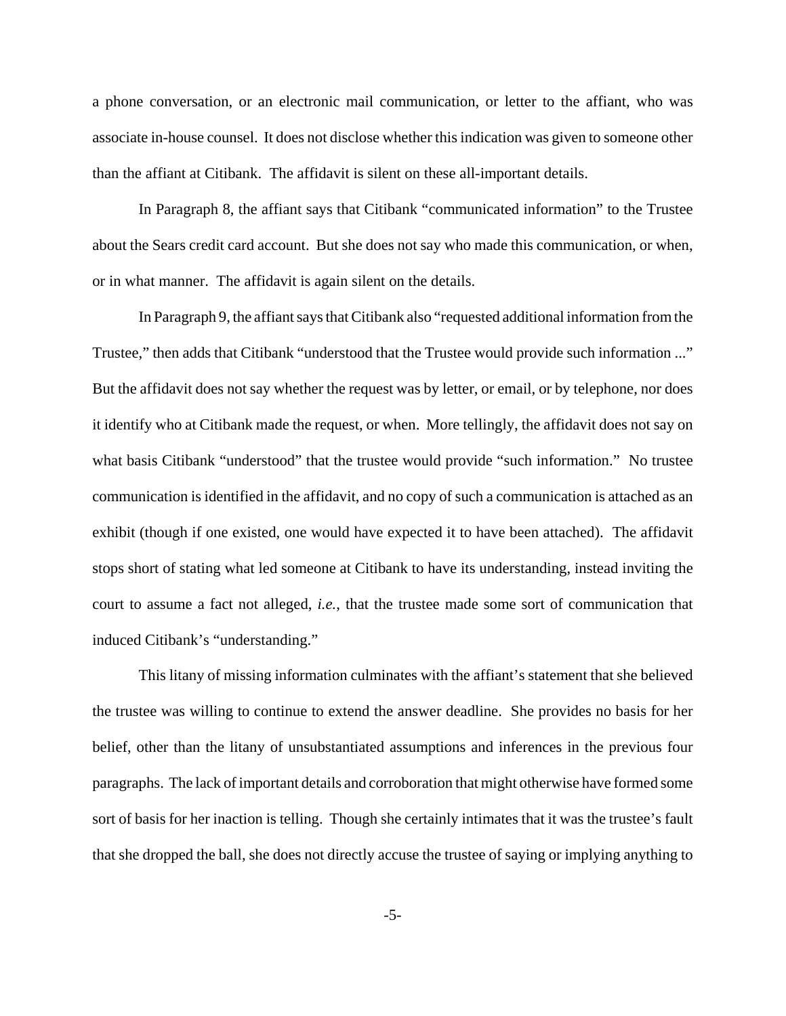a phone conversation, or an electronic mail communication, or letter to the affiant, who was associate in-house counsel. It does not disclose whether this indication was given to someone other than the affiant at Citibank. The affidavit is silent on these all-important details.

In Paragraph 8, the affiant says that Citibank "communicated information" to the Trustee about the Sears credit card account. But she does not say who made this communication, or when, or in what manner. The affidavit is again silent on the details.

In Paragraph 9, the affiant says that Citibank also "requested additional information from the Trustee," then adds that Citibank "understood that the Trustee would provide such information ..." But the affidavit does not say whether the request was by letter, or email, or by telephone, nor does it identify who at Citibank made the request, or when. More tellingly, the affidavit does not say on what basis Citibank "understood" that the trustee would provide "such information." No trustee communication is identified in the affidavit, and no copy of such a communication is attached as an exhibit (though if one existed, one would have expected it to have been attached). The affidavit stops short of stating what led someone at Citibank to have its understanding, instead inviting the court to assume a fact not alleged, *i.e.*, that the trustee made some sort of communication that induced Citibank's "understanding."

This litany of missing information culminates with the affiant's statement that she believed the trustee was willing to continue to extend the answer deadline. She provides no basis for her belief, other than the litany of unsubstantiated assumptions and inferences in the previous four paragraphs. The lack of important details and corroboration that might otherwise have formed some sort of basis for her inaction is telling. Though she certainly intimates that it was the trustee's fault that she dropped the ball, she does not directly accuse the trustee of saying or implying anything to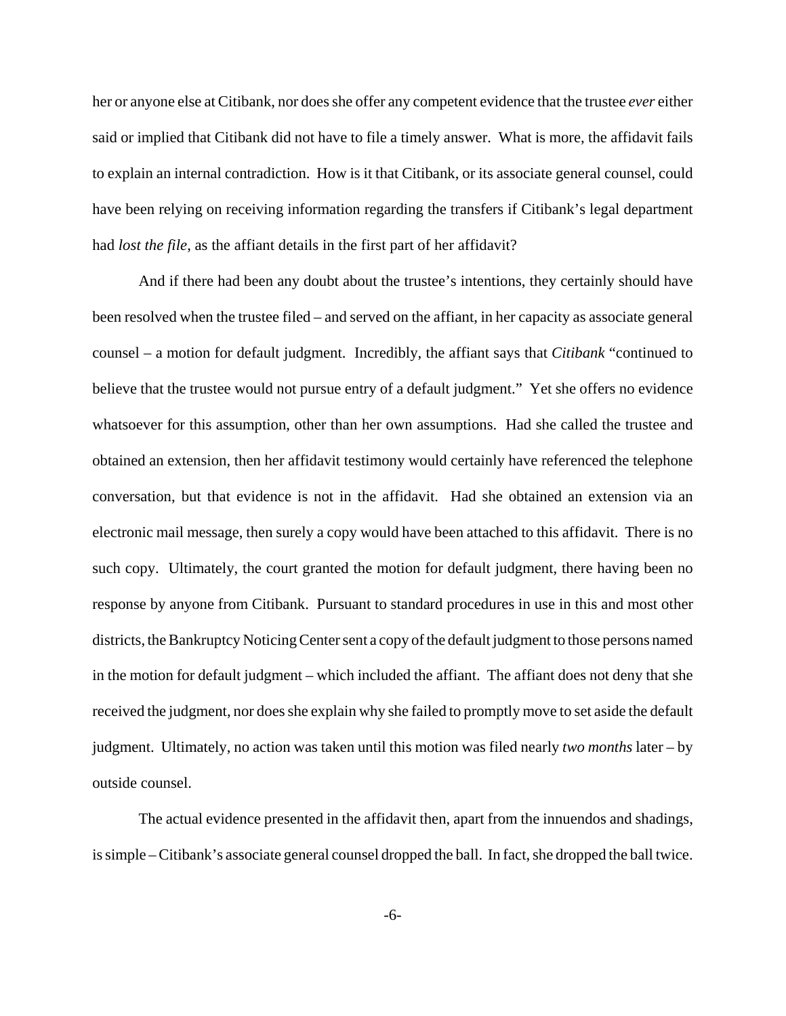her or anyone else at Citibank, nor does she offer any competent evidence that the trustee *ever* either said or implied that Citibank did not have to file a timely answer. What is more, the affidavit fails to explain an internal contradiction. How is it that Citibank, or its associate general counsel, could have been relying on receiving information regarding the transfers if Citibank's legal department had *lost the file*, as the affiant details in the first part of her affidavit?

And if there had been any doubt about the trustee's intentions, they certainly should have been resolved when the trustee filed – and served on the affiant, in her capacity as associate general counsel – a motion for default judgment. Incredibly, the affiant says that *Citibank* "continued to believe that the trustee would not pursue entry of a default judgment." Yet she offers no evidence whatsoever for this assumption, other than her own assumptions. Had she called the trustee and obtained an extension, then her affidavit testimony would certainly have referenced the telephone conversation, but that evidence is not in the affidavit. Had she obtained an extension via an electronic mail message, then surely a copy would have been attached to this affidavit. There is no such copy. Ultimately, the court granted the motion for default judgment, there having been no response by anyone from Citibank. Pursuant to standard procedures in use in this and most other districts, the Bankruptcy Noticing Center sent a copy of the default judgment to those persons named in the motion for default judgment – which included the affiant. The affiant does not deny that she received the judgment, nor does she explain why she failed to promptly move to set aside the default judgment. Ultimately, no action was taken until this motion was filed nearly *two months* later – by outside counsel.

The actual evidence presented in the affidavit then, apart from the innuendos and shadings, is simple – Citibank's associate general counsel dropped the ball. In fact, she dropped the ball twice.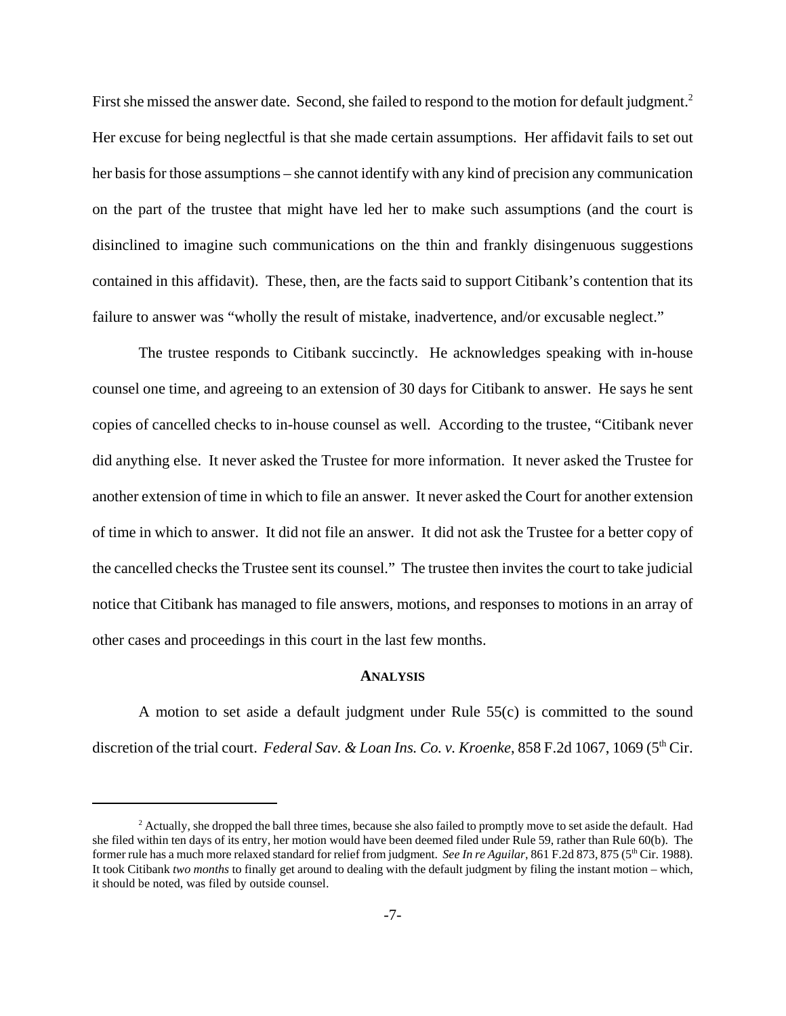First she missed the answer date. Second, she failed to respond to the motion for default judgment.<sup>2</sup> Her excuse for being neglectful is that she made certain assumptions. Her affidavit fails to set out her basis for those assumptions – she cannot identify with any kind of precision any communication on the part of the trustee that might have led her to make such assumptions (and the court is disinclined to imagine such communications on the thin and frankly disingenuous suggestions contained in this affidavit). These, then, are the facts said to support Citibank's contention that its failure to answer was "wholly the result of mistake, inadvertence, and/or excusable neglect."

The trustee responds to Citibank succinctly. He acknowledges speaking with in-house counsel one time, and agreeing to an extension of 30 days for Citibank to answer. He says he sent copies of cancelled checks to in-house counsel as well. According to the trustee, "Citibank never did anything else. It never asked the Trustee for more information. It never asked the Trustee for another extension of time in which to file an answer. It never asked the Court for another extension of time in which to answer. It did not file an answer. It did not ask the Trustee for a better copy of the cancelled checks the Trustee sent its counsel." The trustee then invites the court to take judicial notice that Citibank has managed to file answers, motions, and responses to motions in an array of other cases and proceedings in this court in the last few months.

### **ANALYSIS**

A motion to set aside a default judgment under Rule 55(c) is committed to the sound discretion of the trial court. *Federal Sav. & Loan Ins. Co. v. Kroenke*, 858 F.2d 1067, 1069 (5<sup>th</sup> Cir.

<sup>&</sup>lt;sup>2</sup> Actually, she dropped the ball three times, because she also failed to promptly move to set aside the default. Had she filed within ten days of its entry, her motion would have been deemed filed under Rule 59, rather than Rule 60(b). The former rule has a much more relaxed standard for relief from judgment. *See In re Aguilar*, 861 F.2d 873, 875 (5<sup>th</sup> Cir. 1988). It took Citibank *two months* to finally get around to dealing with the default judgment by filing the instant motion – which, it should be noted, was filed by outside counsel.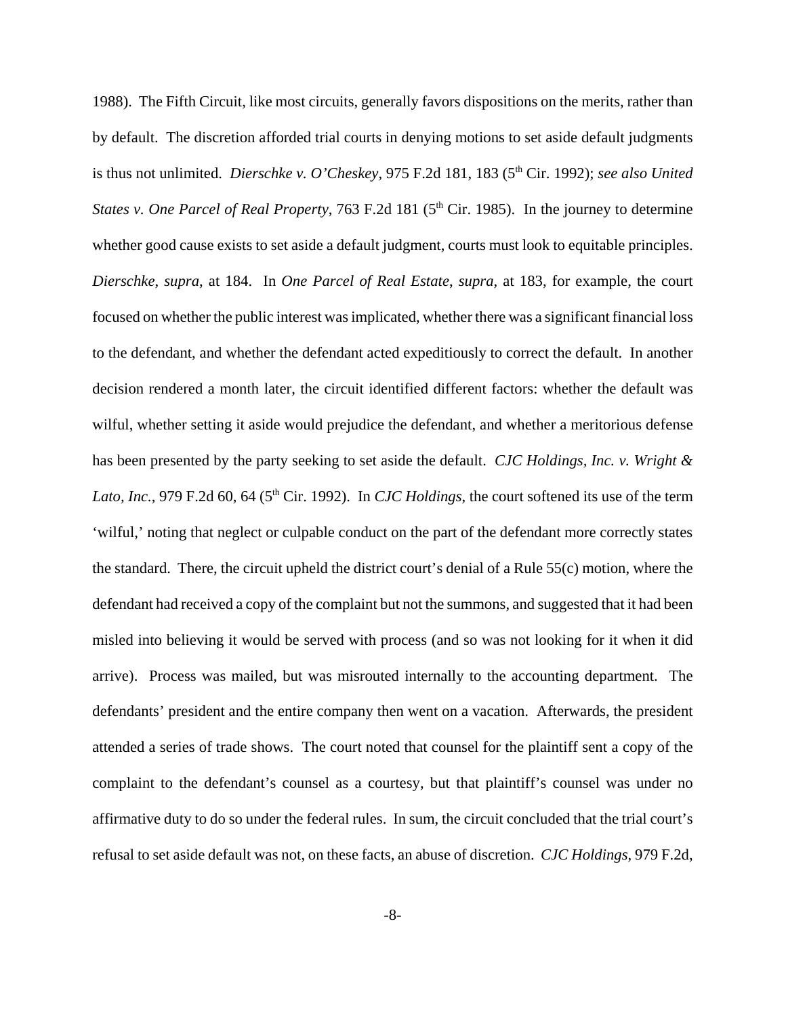1988). The Fifth Circuit, like most circuits, generally favors dispositions on the merits, rather than by default. The discretion afforded trial courts in denying motions to set aside default judgments is thus not unlimited. *Dierschke v. O'Cheskey*, 975 F.2d 181, 183 (5<sup>th</sup> Cir. 1992); *see also United States v. One Parcel of Real Property*, 763 F.2d 181 (5<sup>th</sup> Cir. 1985). In the journey to determine whether good cause exists to set aside a default judgment, courts must look to equitable principles. *Dierschke*, *supra*, at 184. In *One Parcel of Real Estate*, *supra*, at 183, for example, the court focused on whether the public interest was implicated, whether there was a significant financial loss to the defendant, and whether the defendant acted expeditiously to correct the default. In another decision rendered a month later, the circuit identified different factors: whether the default was wilful, whether setting it aside would prejudice the defendant, and whether a meritorious defense has been presented by the party seeking to set aside the default. *CJC Holdings, Inc. v. Wright &* Lato, Inc., 979 F.2d 60, 64 (5<sup>th</sup> Cir. 1992). In *CJC Holdings*, the court softened its use of the term 'wilful,' noting that neglect or culpable conduct on the part of the defendant more correctly states the standard. There, the circuit upheld the district court's denial of a Rule 55(c) motion, where the defendant had received a copy of the complaint but not the summons, and suggested that it had been misled into believing it would be served with process (and so was not looking for it when it did arrive). Process was mailed, but was misrouted internally to the accounting department. The defendants' president and the entire company then went on a vacation. Afterwards, the president attended a series of trade shows. The court noted that counsel for the plaintiff sent a copy of the complaint to the defendant's counsel as a courtesy, but that plaintiff's counsel was under no affirmative duty to do so under the federal rules. In sum, the circuit concluded that the trial court's refusal to set aside default was not, on these facts, an abuse of discretion. *CJC Holdings,* 979 F.2d,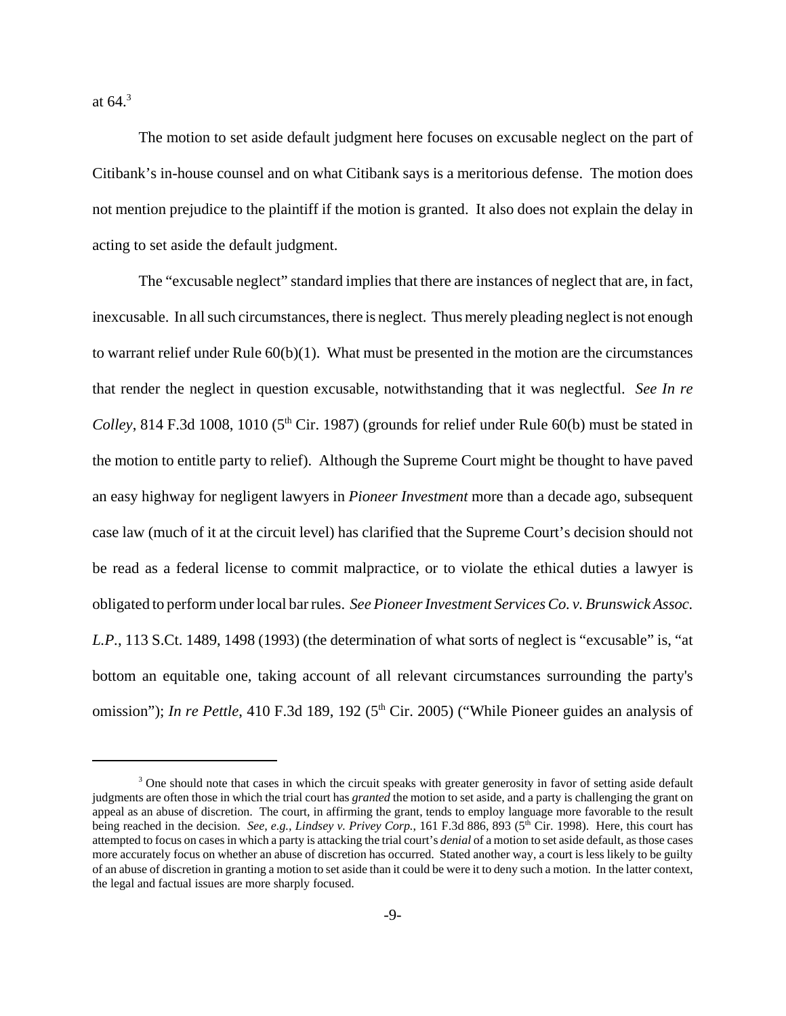at  $64.3$ 

The motion to set aside default judgment here focuses on excusable neglect on the part of Citibank's in-house counsel and on what Citibank says is a meritorious defense. The motion does not mention prejudice to the plaintiff if the motion is granted. It also does not explain the delay in acting to set aside the default judgment.

The "excusable neglect" standard implies that there are instances of neglect that are, in fact, inexcusable. In all such circumstances, there is neglect. Thus merely pleading neglect is not enough to warrant relief under Rule 60(b)(1). What must be presented in the motion are the circumstances that render the neglect in question excusable, notwithstanding that it was neglectful. *See In re Colley*, 814 F.3d 1008, 1010 ( $5<sup>th</sup>$  Cir. 1987) (grounds for relief under Rule 60(b) must be stated in the motion to entitle party to relief). Although the Supreme Court might be thought to have paved an easy highway for negligent lawyers in *Pioneer Investment* more than a decade ago, subsequent case law (much of it at the circuit level) has clarified that the Supreme Court's decision should not be read as a federal license to commit malpractice, or to violate the ethical duties a lawyer is obligated to perform under local bar rules. *See Pioneer Investment Services Co. v. Brunswick Assoc. L.P.*, 113 S.Ct. 1489, 1498 (1993) (the determination of what sorts of neglect is "excusable" is, "at bottom an equitable one, taking account of all relevant circumstances surrounding the party's omission"); *In re Pettle*, 410 F.3d 189, 192 (5<sup>th</sup> Cir. 2005) ("While Pioneer guides an analysis of

<sup>&</sup>lt;sup>3</sup> One should note that cases in which the circuit speaks with greater generosity in favor of setting aside default judgments are often those in which the trial court has *granted* the motion to set aside, and a party is challenging the grant on appeal as an abuse of discretion. The court, in affirming the grant, tends to employ language more favorable to the result being reached in the decision. *See, e.g., Lindsey v. Privey Corp.*, 161 F.3d 886, 893 (5<sup>th</sup> Cir. 1998). Here, this court has attempted to focus on cases in which a party is attacking the trial court's *denial* of a motion to set aside default, as those cases more accurately focus on whether an abuse of discretion has occurred. Stated another way, a court is less likely to be guilty of an abuse of discretion in granting a motion to set aside than it could be were it to deny such a motion. In the latter context, the legal and factual issues are more sharply focused.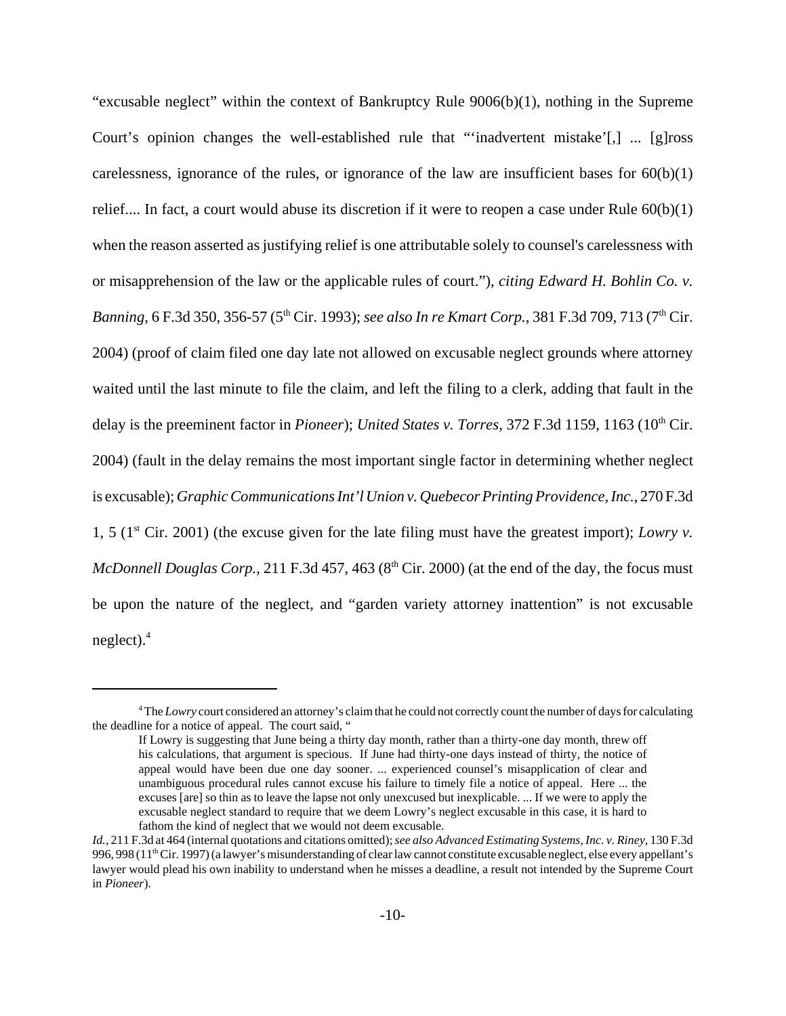"excusable neglect" within the context of Bankruptcy Rule 9006(b)(1), nothing in the Supreme Court's opinion changes the well-established rule that "'inadvertent mistake'[,] ... [g]ross carelessness, ignorance of the rules, or ignorance of the law are insufficient bases for  $60(b)(1)$ relief.... In fact, a court would abuse its discretion if it were to reopen a case under Rule 60(b)(1) when the reason asserted as justifying relief is one attributable solely to counsel's carelessness with or misapprehension of the law or the applicable rules of court."), *citing Edward H. Bohlin Co. v. Banning*, 6 F.3d 350, 356-57 (5<sup>th</sup> Cir. 1993); *see also In re Kmart Corp.*, 381 F.3d 709, 713 (7<sup>th</sup> Cir. 2004) (proof of claim filed one day late not allowed on excusable neglect grounds where attorney waited until the last minute to file the claim, and left the filing to a clerk, adding that fault in the delay is the preeminent factor in *Pioneer*); *United States v. Torres*, 372 F.3d 1159, 1163 (10<sup>th</sup> Cir. 2004) (fault in the delay remains the most important single factor in determining whether neglect is excusable); *Graphic Communications Int'l Union v. Quebecor Printing Providence, Inc.*, 270 F.3d 1, 5 (1st Cir. 2001) (the excuse given for the late filing must have the greatest import); *Lowry v. McDonnell Douglas Corp.*, 211 F.3d 457, 463 (8<sup>th</sup> Cir. 2000) (at the end of the day, the focus must be upon the nature of the neglect, and "garden variety attorney inattention" is not excusable neglect). $4$ 

<sup>&</sup>lt;sup>4</sup>The *Lowry* court considered an attorney's claim that he could not correctly count the number of days for calculating the deadline for a notice of appeal. The court said, "

If Lowry is suggesting that June being a thirty day month, rather than a thirty-one day month, threw off his calculations, that argument is specious. If June had thirty-one days instead of thirty, the notice of appeal would have been due one day sooner. ... experienced counsel's misapplication of clear and unambiguous procedural rules cannot excuse his failure to timely file a notice of appeal. Here ... the excuses [are] so thin as to leave the lapse not only unexcused but inexplicable. ... If we were to apply the excusable neglect standard to require that we deem Lowry's neglect excusable in this case, it is hard to fathom the kind of neglect that we would not deem excusable.

*Id.*, 211 F.3d at 464 (internal quotations and citations omitted); *see also Advanced Estimating Systems, Inc. v. Riney*, 130 F.3d 996, 998 (11<sup>th</sup> Cir. 1997) (a lawyer's misunderstanding of clear law cannot constitute excusable neglect, else every appellant's lawyer would plead his own inability to understand when he misses a deadline, a result not intended by the Supreme Court in *Pioneer*).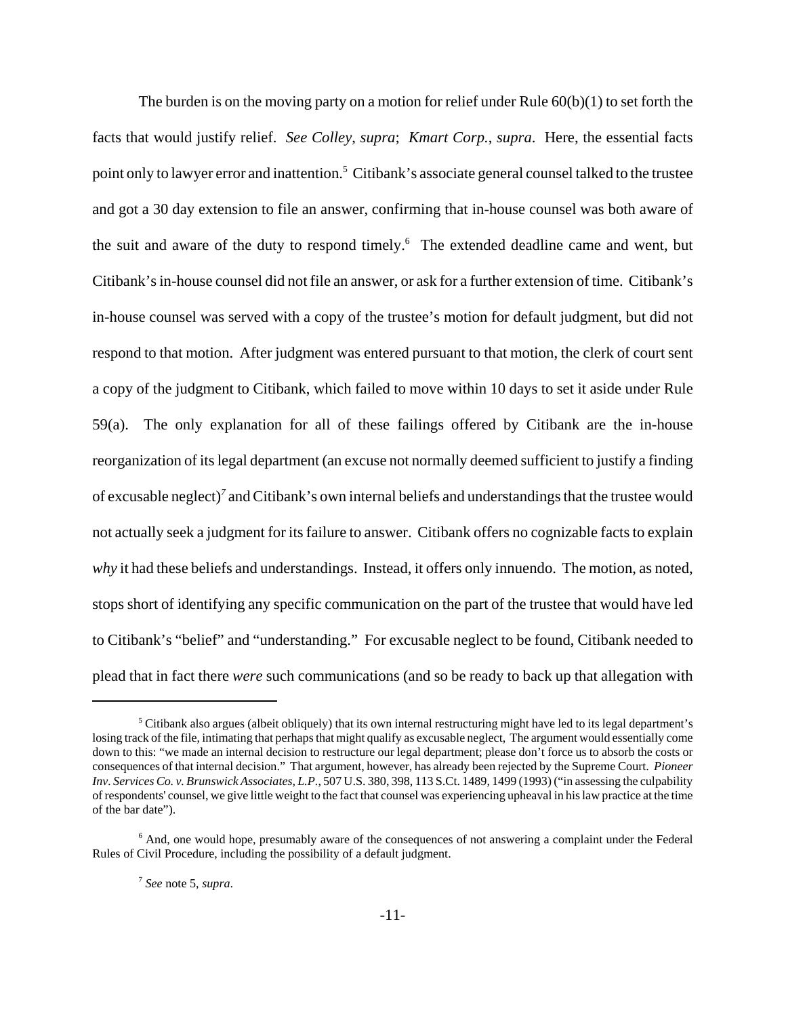The burden is on the moving party on a motion for relief under Rule  $60(b)(1)$  to set forth the facts that would justify relief. *See Colley*, *supra*; *Kmart Corp.*, *supra*. Here, the essential facts point only to lawyer error and inattention.<sup>5</sup> Citibank's associate general counsel talked to the trustee and got a 30 day extension to file an answer, confirming that in-house counsel was both aware of the suit and aware of the duty to respond timely.<sup>6</sup> The extended deadline came and went, but Citibank's in-house counsel did not file an answer, or ask for a further extension of time. Citibank's in-house counsel was served with a copy of the trustee's motion for default judgment, but did not respond to that motion. After judgment was entered pursuant to that motion, the clerk of court sent a copy of the judgment to Citibank, which failed to move within 10 days to set it aside under Rule 59(a). The only explanation for all of these failings offered by Citibank are the in-house reorganization of its legal department (an excuse not normally deemed sufficient to justify a finding of excusable neglect)*<sup>7</sup>* and Citibank's own internal beliefs and understandings that the trustee would not actually seek a judgment for its failure to answer. Citibank offers no cognizable facts to explain *why* it had these beliefs and understandings. Instead, it offers only innuendo. The motion, as noted, stops short of identifying any specific communication on the part of the trustee that would have led to Citibank's "belief" and "understanding." For excusable neglect to be found, Citibank needed to plead that in fact there *were* such communications (and so be ready to back up that allegation with

 $<sup>5</sup>$  Citibank also argues (albeit obliquely) that its own internal restructuring might have led to its legal department's</sup> losing track of the file, intimating that perhaps that might qualify as excusable neglect, The argument would essentially come down to this: "we made an internal decision to restructure our legal department; please don't force us to absorb the costs or consequences of that internal decision." That argument, however, has already been rejected by the Supreme Court. *Pioneer Inv. Services Co. v. Brunswick Associates, L.P.*, 507 U.S. 380, 398, 113 S.Ct. 1489, 1499 (1993) ("in assessing the culpability of respondents' counsel, we give little weight to the fact that counsel was experiencing upheaval in his law practice at the time of the bar date").

<sup>&</sup>lt;sup>6</sup> And, one would hope, presumably aware of the consequences of not answering a complaint under the Federal Rules of Civil Procedure, including the possibility of a default judgment.

<sup>7</sup> *See* note 5, *supra*.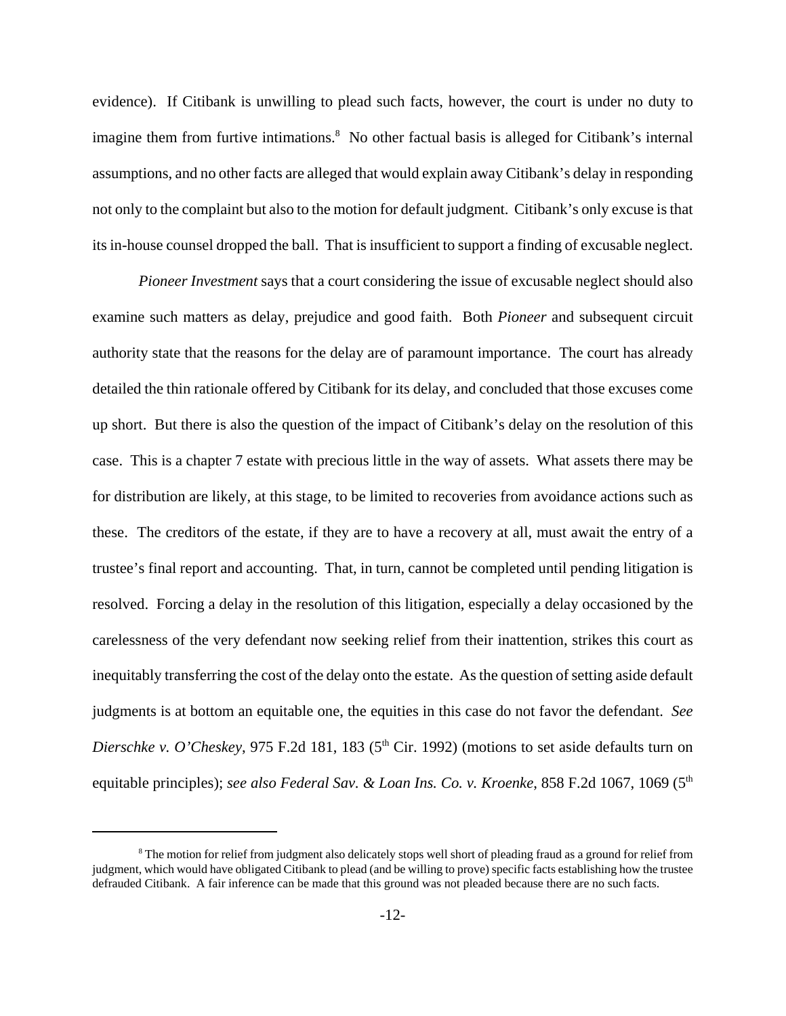evidence). If Citibank is unwilling to plead such facts, however, the court is under no duty to imagine them from furtive intimations.<sup>8</sup> No other factual basis is alleged for Citibank's internal assumptions, and no other facts are alleged that would explain away Citibank's delay in responding not only to the complaint but also to the motion for default judgment. Citibank's only excuse is that its in-house counsel dropped the ball. That is insufficient to support a finding of excusable neglect.

*Pioneer Investment* says that a court considering the issue of excusable neglect should also examine such matters as delay, prejudice and good faith. Both *Pioneer* and subsequent circuit authority state that the reasons for the delay are of paramount importance. The court has already detailed the thin rationale offered by Citibank for its delay, and concluded that those excuses come up short. But there is also the question of the impact of Citibank's delay on the resolution of this case. This is a chapter 7 estate with precious little in the way of assets. What assets there may be for distribution are likely, at this stage, to be limited to recoveries from avoidance actions such as these. The creditors of the estate, if they are to have a recovery at all, must await the entry of a trustee's final report and accounting. That, in turn, cannot be completed until pending litigation is resolved. Forcing a delay in the resolution of this litigation, especially a delay occasioned by the carelessness of the very defendant now seeking relief from their inattention, strikes this court as inequitably transferring the cost of the delay onto the estate. As the question of setting aside default judgments is at bottom an equitable one, the equities in this case do not favor the defendant. *See Dierschke v. O'Cheskey*, 975 F.2d 181, 183 (5<sup>th</sup> Cir. 1992) (motions to set aside defaults turn on equitable principles); *see also Federal Sav. & Loan Ins. Co. v. Kroenke*, 858 F.2d 1067, 1069 (5<sup>th</sup>

<sup>&</sup>lt;sup>8</sup> The motion for relief from judgment also delicately stops well short of pleading fraud as a ground for relief from judgment, which would have obligated Citibank to plead (and be willing to prove) specific facts establishing how the trustee defrauded Citibank. A fair inference can be made that this ground was not pleaded because there are no such facts.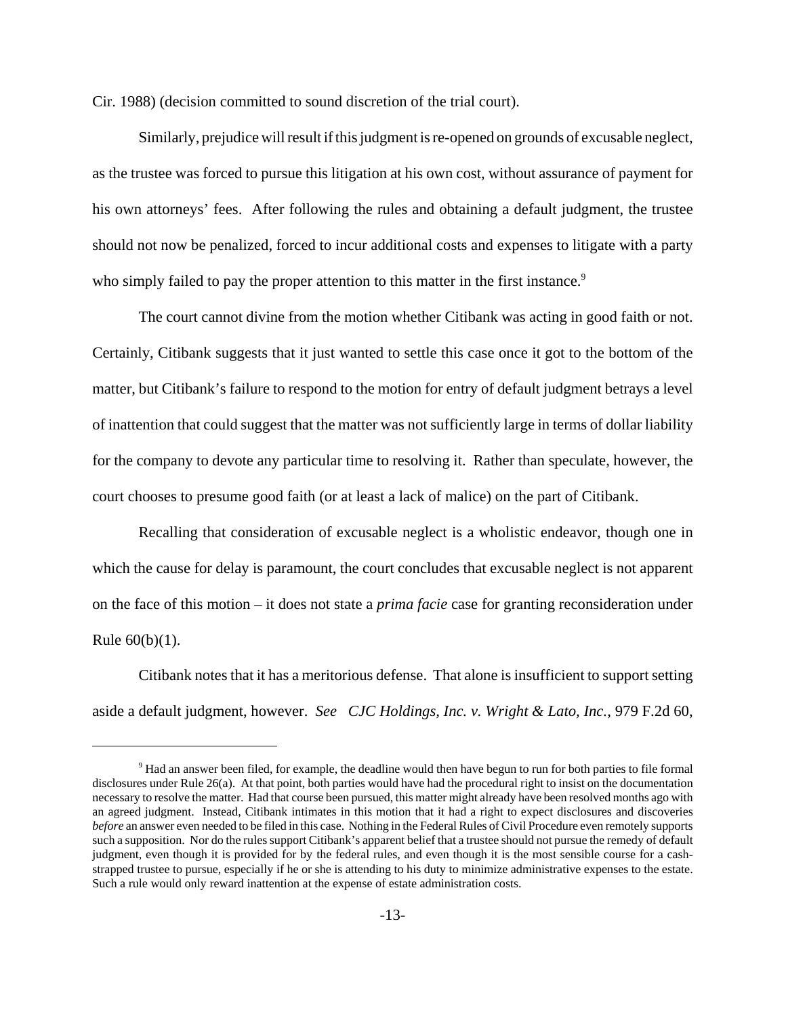Cir. 1988) (decision committed to sound discretion of the trial court).

Similarly, prejudice will result if this judgment is re-opened on grounds of excusable neglect, as the trustee was forced to pursue this litigation at his own cost, without assurance of payment for his own attorneys' fees. After following the rules and obtaining a default judgment, the trustee should not now be penalized, forced to incur additional costs and expenses to litigate with a party who simply failed to pay the proper attention to this matter in the first instance.<sup>9</sup>

The court cannot divine from the motion whether Citibank was acting in good faith or not. Certainly, Citibank suggests that it just wanted to settle this case once it got to the bottom of the matter, but Citibank's failure to respond to the motion for entry of default judgment betrays a level of inattention that could suggest that the matter was not sufficiently large in terms of dollar liability for the company to devote any particular time to resolving it. Rather than speculate, however, the court chooses to presume good faith (or at least a lack of malice) on the part of Citibank.

Recalling that consideration of excusable neglect is a wholistic endeavor, though one in which the cause for delay is paramount, the court concludes that excusable neglect is not apparent on the face of this motion – it does not state a *prima facie* case for granting reconsideration under Rule  $60(b)(1)$ .

Citibank notes that it has a meritorious defense. That alone is insufficient to support setting aside a default judgment, however. *See CJC Holdings, Inc. v. Wright & Lato, Inc.*, 979 F.2d 60,

<sup>&</sup>lt;sup>9</sup> Had an answer been filed, for example, the deadline would then have begun to run for both parties to file formal disclosures under Rule 26(a). At that point, both parties would have had the procedural right to insist on the documentation necessary to resolve the matter. Had that course been pursued, this matter might already have been resolved months ago with an agreed judgment. Instead, Citibank intimates in this motion that it had a right to expect disclosures and discoveries *before* an answer even needed to be filed in this case. Nothing in the Federal Rules of Civil Procedure even remotely supports such a supposition. Nor do the rules support Citibank's apparent belief that a trustee should not pursue the remedy of default judgment, even though it is provided for by the federal rules, and even though it is the most sensible course for a cashstrapped trustee to pursue, especially if he or she is attending to his duty to minimize administrative expenses to the estate. Such a rule would only reward inattention at the expense of estate administration costs.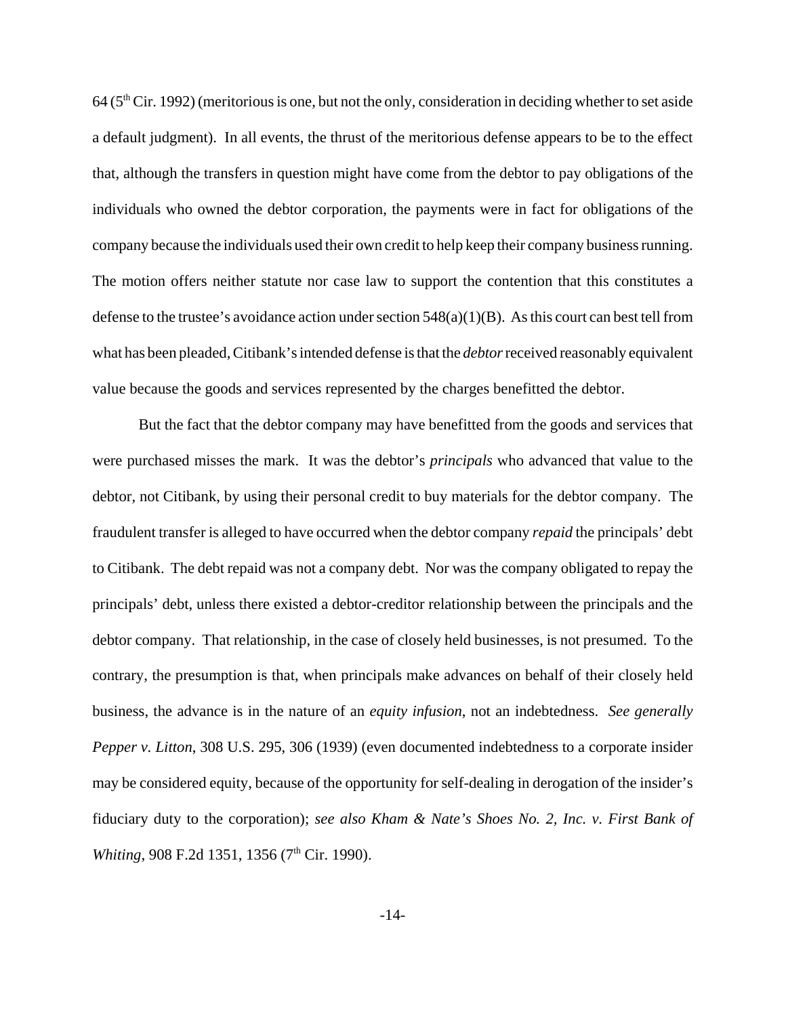$64$  ( $5<sup>th</sup>$  Cir. 1992) (meritorious is one, but not the only, consideration in deciding whether to set aside a default judgment). In all events, the thrust of the meritorious defense appears to be to the effect that, although the transfers in question might have come from the debtor to pay obligations of the individuals who owned the debtor corporation, the payments were in fact for obligations of the company because the individuals used their own credit to help keep their company business running. The motion offers neither statute nor case law to support the contention that this constitutes a defense to the trustee's avoidance action under section  $548(a)(1)(B)$ . As this court can best tell from what has been pleaded, Citibank's intended defense is that the *debtor* received reasonably equivalent value because the goods and services represented by the charges benefitted the debtor.

But the fact that the debtor company may have benefitted from the goods and services that were purchased misses the mark. It was the debtor's *principals* who advanced that value to the debtor, not Citibank, by using their personal credit to buy materials for the debtor company. The fraudulent transfer is alleged to have occurred when the debtor company *repaid* the principals' debt to Citibank. The debt repaid was not a company debt. Nor was the company obligated to repay the principals' debt, unless there existed a debtor-creditor relationship between the principals and the debtor company. That relationship, in the case of closely held businesses, is not presumed. To the contrary, the presumption is that, when principals make advances on behalf of their closely held business, the advance is in the nature of an *equity infusion*, not an indebtedness. *See generally Pepper v. Litton*, 308 U.S. 295, 306 (1939) (even documented indebtedness to a corporate insider may be considered equity, because of the opportunity for self-dealing in derogation of the insider's fiduciary duty to the corporation); *see also Kham & Nate's Shoes No. 2, Inc. v. First Bank of Whiting*, 908 F.2d 1351, 1356 (7<sup>th</sup> Cir. 1990).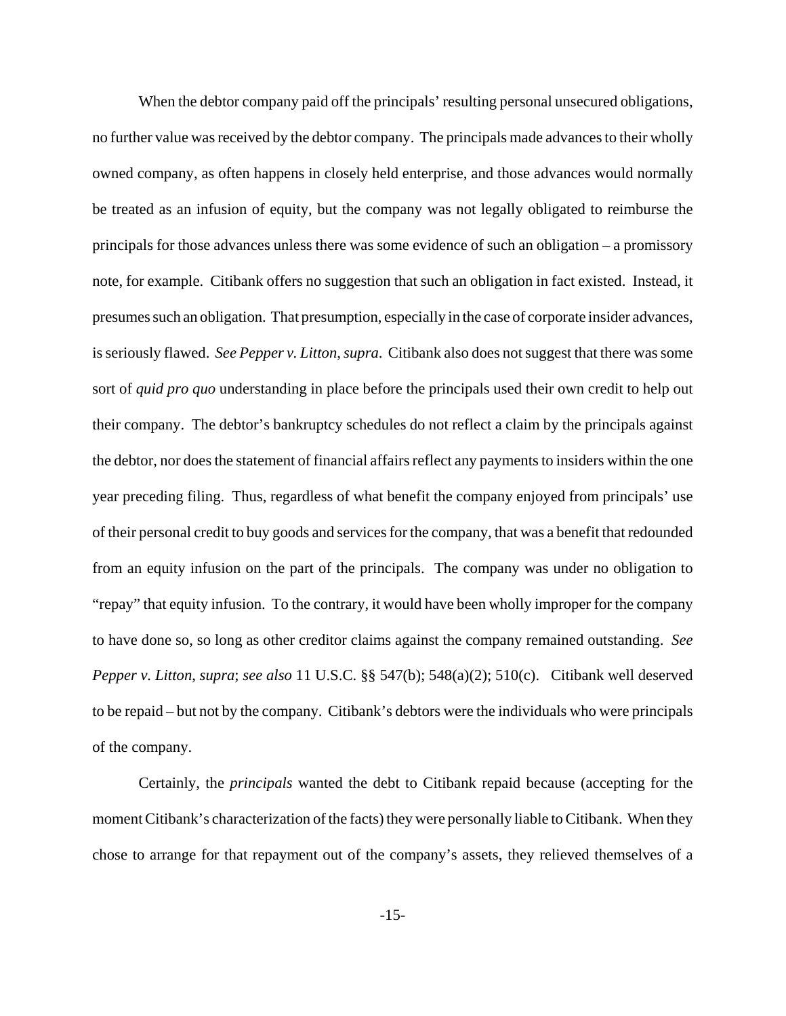When the debtor company paid off the principals' resulting personal unsecured obligations, no further value was received by the debtor company. The principals made advances to their wholly owned company, as often happens in closely held enterprise, and those advances would normally be treated as an infusion of equity, but the company was not legally obligated to reimburse the principals for those advances unless there was some evidence of such an obligation – a promissory note, for example. Citibank offers no suggestion that such an obligation in fact existed. Instead, it presumes such an obligation. That presumption, especially in the case of corporate insider advances, is seriously flawed. *See Pepper v. Litton*, *supra*. Citibank also does not suggest that there was some sort of *quid pro quo* understanding in place before the principals used their own credit to help out their company. The debtor's bankruptcy schedules do not reflect a claim by the principals against the debtor, nor does the statement of financial affairs reflect any payments to insiders within the one year preceding filing. Thus, regardless of what benefit the company enjoyed from principals' use of their personal credit to buy goods and services for the company, that was a benefit that redounded from an equity infusion on the part of the principals. The company was under no obligation to "repay" that equity infusion. To the contrary, it would have been wholly improper for the company to have done so, so long as other creditor claims against the company remained outstanding. *See Pepper v. Litton*, *supra*; *see also* 11 U.S.C. §§ 547(b); 548(a)(2); 510(c). Citibank well deserved to be repaid – but not by the company. Citibank's debtors were the individuals who were principals of the company.

Certainly, the *principals* wanted the debt to Citibank repaid because (accepting for the moment Citibank's characterization of the facts) they were personally liable to Citibank. When they chose to arrange for that repayment out of the company's assets, they relieved themselves of a